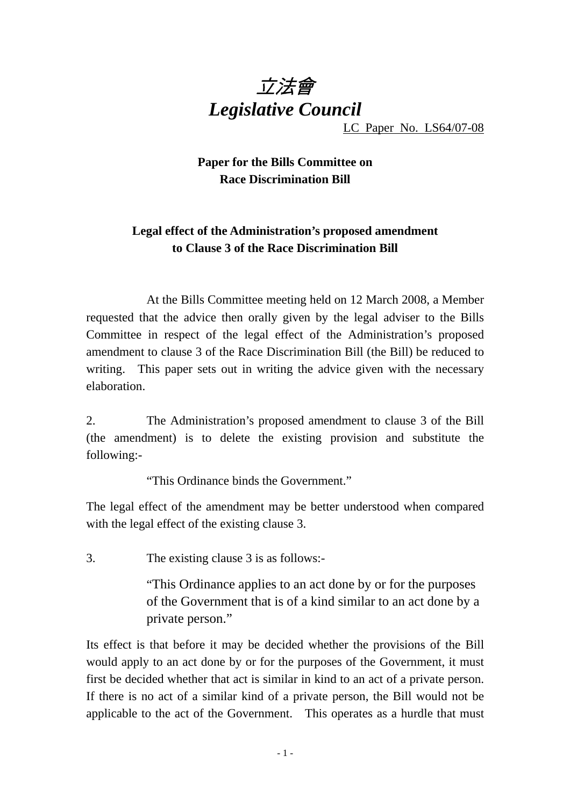

LC Paper No. LS64/07-08

## **Paper for the Bills Committee on Race Discrimination Bill**

## **Legal effect of the Administration's proposed amendment to Clause 3 of the Race Discrimination Bill**

 At the Bills Committee meeting held on 12 March 2008, a Member requested that the advice then orally given by the legal adviser to the Bills Committee in respect of the legal effect of the Administration's proposed amendment to clause 3 of the Race Discrimination Bill (the Bill) be reduced to writing. This paper sets out in writing the advice given with the necessary elaboration.

2. The Administration's proposed amendment to clause 3 of the Bill (the amendment) is to delete the existing provision and substitute the following:-

"This Ordinance binds the Government."

The legal effect of the amendment may be better understood when compared with the legal effect of the existing clause 3.

3. The existing clause 3 is as follows:-

"This Ordinance applies to an act done by or for the purposes of the Government that is of a kind similar to an act done by a private person."

Its effect is that before it may be decided whether the provisions of the Bill would apply to an act done by or for the purposes of the Government, it must first be decided whether that act is similar in kind to an act of a private person. If there is no act of a similar kind of a private person, the Bill would not be applicable to the act of the Government. This operates as a hurdle that must